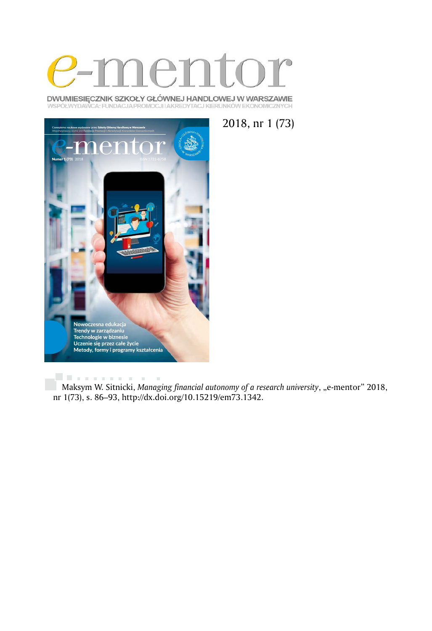

DWUMIESIĘCZNIK SZKOŁY GŁÓWNEJ HANDLOWEJ W WARSZAWIE WSPÓŁWYDAWCA: FUNDACJA PROMOCJI I AKREDYTACJ KIERUNKÓW EKONOMICZNYCH



2018, nr 1 (73)

Maksym W. Sitnicki, *Managing financial autonomy of a research university*, "e-mentor" 2018, nr 1(73), s. 86–93, http://dx.doi.org/10.15219/em73.1342.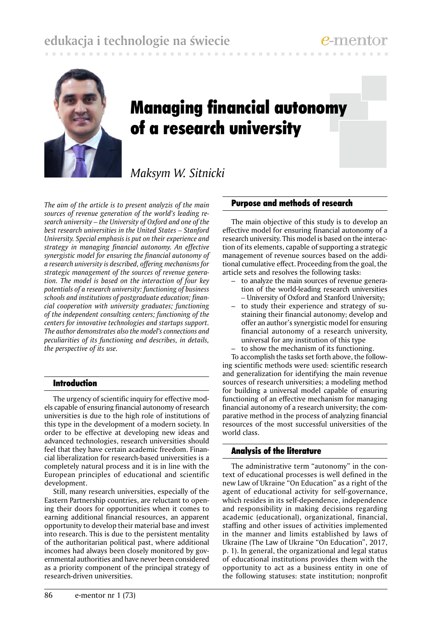# **edukacja i technologie na świecie**



# Managing financial autonomy of a research university

*Maksym W. Sitnicki*

*The aim of the article is to present analyzis of the main sources of revenue generation of the world's leading research university – the University of Oxford and one of the best research universities in the United States – Stanford University. Special emphasis is put on their experience and strategy in managing financial autonomy. An effective synergistic model for ensuring the financial autonomy of a research university is described, offering mechanisms for strategic management of the sources of revenue generation. The model is based on the interaction of four key potentials of a research university: functioning of business schools and institutions of postgraduate education; financial cooperation with university graduates; functioning of the independent consulting centers; functioning of the centers for innovative technologies and startups support. The author demonstrates also the model's connections and peculiarities of its functioning and describes, in details, the perspective of its use.*

## Introduction

The urgency of scientific inquiry for effective models capable of ensuring financial autonomy of research universities is due to the high role of institutions of this type in the development of a modern society. In order to be effective at developing new ideas and advanced technologies, research universities should feel that they have certain academic freedom. Financial liberalization for research-based universities is a completely natural process and it is in line with the European principles of educational and scientific development.

Still, many research universities, especially of the Eastern Partnership countries, are reluctant to opening their doors for opportunities when it comes to earning additional financial resources, an apparent opportunity to develop their material base and invest into research. This is due to the persistent mentality of the authoritarian political past, where additional incomes had always been closely monitored by governmental authorities and have never been considered as a priority component of the principal strategy of research-driven universities.

### Purpose and methods of research

The main objective of this study is to develop an effective model for ensuring financial autonomy of a research university. This model is based on the interaction of its elements, capable of supporting a strategic management of revenue sources based on the additional cumulative effect. Proceeding from the goal, the article sets and resolves the following tasks:

- to analyze the main sources of revenue generation of the world-leading research universities *–* University of Oxford and Stanford University;
- to study their experience and strategy of sustaining their financial autonomy; develop and offer an author's synergistic model for ensuring financial autonomy of a research university, universal for any institution of this type
- to show the mechanism of its functioning.

To accomplish the tasks set forth above, the following scientific methods were used: scientific research and generalization for identifying the main revenue sources of research universities; a modeling method for building a universal model capable of ensuring functioning of an effective mechanism for managing financial autonomy of a research university; the comparative method in the process of analyzing financial resources of the most successful universities of the world class.

#### Analysis of the literature

The administrative term "autonomy" in the context of educational processes is well defined in the new Law of Ukraine "On Education" as a right of the agent of educational activity for self-governance, which resides in its self-dependence, independence and responsibility in making decisions regarding academic (educational), organizational, financial, staffing and other issues of activities implemented in the manner and limits established by laws of Ukraine (The Law of Ukraine "On Education", 2017, p. 1). In general, the organizational and legal status of educational institutions provides them with the opportunity to act as a business entity in one of the following statuses: state institution; nonprofit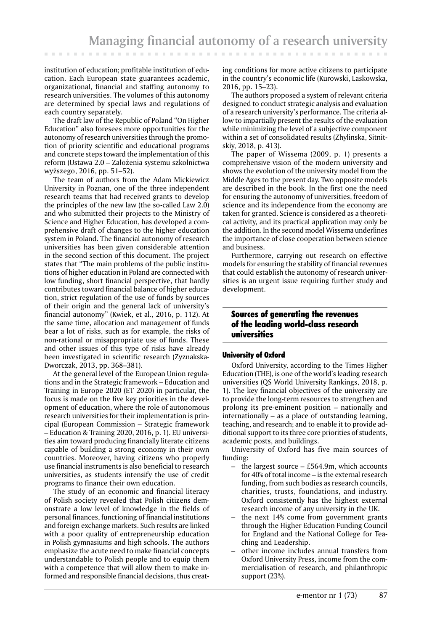institution of education; profitable institution of education. Each European state guarantees academic, organizational, financial and staffing autonomy to research universities. The volumes of this autonomy are determined by special laws and regulations of each country separately.

The draft law of the Republic of Poland "On Higher Education" also foresees more opportunities for the autonomy of research universities through the promotion of priority scientific and educational programs and concrete steps toward the implementation of this reform (Ustawa 2.0 *–* Założenia systemu szkolnictwa wyższego, 2016, pp. 51–52).

The team of authors from the Adam Mickiewicz University in Poznan, one of the three independent research teams that had received grants to develop the principles of the new law (the so-called Law 2.0) and who submitted their projects to the Ministry of Science and Higher Education, has developed a comprehensive draft of changes to the higher education system in Poland. The financial autonomy of research universities has been given considerable attention in the second section of this document. The project states that "The main problems of the public institutions of higher education in Poland are connected with low funding, short financial perspective, that hardly contributes toward financial balance of higher education, strict regulation of the use of funds by sources of their origin and the general lack of university's financial autonomy" (Kwiek, et al., 2016, p. 112). At the same time, allocation and management of funds bear a lot of risks, such as for example, the risks of non-rational or misappropriate use of funds. These and other issues of this type of risks have already been investigated in scientific research (Zyznakska-Dworczak, 2013, pp. 368–381).

At the general level of the European Union regulations and in the Strategic framework – Education and Training in Europe 2020 (ET 2020) in particular, the focus is made on the five key priorities in the development of education, where the role of autonomous research universities for their implementation is principal (European Commission – Strategic framework – Education & Training 2020, 2016, p. 1). EU universities aim toward producing financially literate citizens capable of building a strong economy in their own countries. Moreover, having citizens who properly use financial instruments is also beneficial to research universities, as students intensify the use of credit programs to finance their own education.

The study of an economic and financial literacy of Polish society revealed that Polish citizens demonstrate a low level of knowledge in the fields of personal finances, functioning of financial institutions and foreign exchange markets. Such results are linked with a poor quality of entrepreneurship education in Polish gymnasiums and high schools. The authors emphasize the acute need to make financial concepts understandable to Polish people and to equip them with a competence that will allow them to make informed and responsible financial decisions, thus creating conditions for more active citizens to participate in the country's economic life (Kurowski, Laskowska, 2016, pp. 15–23).

The authors proposed a system of relevant criteria designed to conduct strategic analysis and evaluation of a research university's performance. The criteria allow to impartially present the results of the evaluation while minimizing the level of a subjective component within a set of consolidated results (Zhylinska, Sitnitskiy, 2018, p. 413).

The paper of Wissema (2009, p. 1) presents a comprehensive vision of the modern university and shows the evolution of the university model from the Middle Ages to the present day. Two opposite models are described in the book. In the first one the need for ensuring the autonomy of universities, freedom of science and its independence from the economy are taken for granted. Science is considered as a theoretical activity, and its practical application may only be the addition. In the second model Wissema underlines the importance of close cooperation between science and business.

Furthermore, carrying out research on effective models for ensuring the stability of financial revenues that could establish the autonomy of research universities is an urgent issue requiring further study and development.

# Sources of generating the revenues of the leading world-class research universities

#### University of Oxford

Oxford University, according to the Times Higher Education (THE), is one of the world's leading research universities (QS World University Rankings, 2018, p. 1). The key financial objectives of the university are to provide the long-term resources to strengthen and prolong its pre-eminent position – nationally and internationally – as a place of outstanding learning, teaching, and research; and to enable it to provide additional support to its three core priorities of students, academic posts, and buildings.

University of Oxford has five main sources of funding:

- the largest source  $-$  £564.9m, which accounts for 40% of total income – is the external research funding, from such bodies as research councils, charities, trusts, foundations, and industry. Oxford consistently has the highest external research income of any university in the UK.
- the next 14% come from government grants through the Higher Education Funding Council for England and the National College for Teaching and Leadership.
- other income includes annual transfers from Oxford University Press, income from the commercialisation of research, and philanthropic support (23%).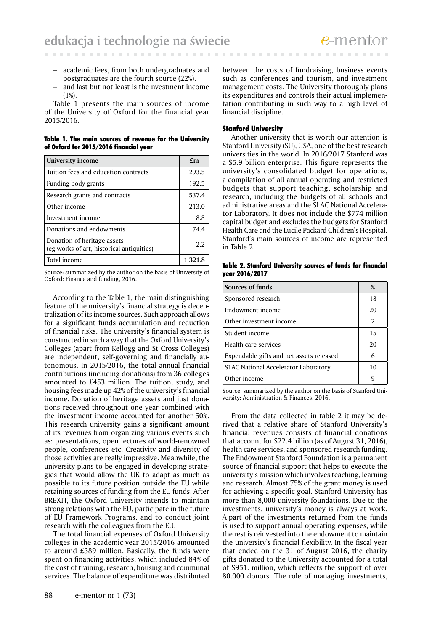- academic fees, from both undergraduates and postgraduates are the fourth source (22%).
- and last but not least is the nvestment income (1%).

Table 1 presents the main sources of income of the University of Oxford for the financial year 2015/2016.

Table 1. The main sources of revenue for the University of Oxford for 2015/2016 financial year

| University income                                                        | £m      |
|--------------------------------------------------------------------------|---------|
| Tuition fees and education contracts                                     | 293.5   |
| Funding body grants                                                      | 192.5   |
| Research grants and contracts                                            | 537.4   |
| Other income                                                             | 213.0   |
| Investment income                                                        | 8.8     |
| Donations and endowments                                                 | 74.4    |
| Donation of heritage assets<br>(eg works of art, historical antiquities) | 2.2     |
| Total income                                                             | 1 321.8 |

Source: summarized by the author on the basis of University of Oxford: Finance and funding, 2016.

According to the Table 1, the main distinguishing feature of the university's financial strategy is decentralization of its income sources. Such approach allows for a significant funds accumulation and reduction of financial risks. The university's financial system is constructed in such a way that the Oxford University's Colleges (apart from Kellogg and St Cross Colleges) are independent, self-governing and financially autonomous. In 2015/2016, the total annual financial contributions (including donations) from 36 colleges amounted to £453 million. The tuition, study, and housing fees made up 42% of the university's financial income. Donation of heritage assets and just donations received throughout one year combined with the investment income accounted for another 50%. This research university gains a significant amount of its revenues from organizing various events such as: presentations, open lectures of world-renowned people, conferences etc. Creativity and diversity of those activities are really impressive. Meanwhile, the university plans to be engaged in developing strategies that would allow the UK to adapt as much as possible to its future position outside the EU while retaining sources of funding from the EU funds. After BREXIT, the Oxford University intends to maintain strong relations with the EU, participate in the future of EU Framework Programs, and to conduct joint research with the colleagues from the EU.

The total financial expenses of Oxford University colleges in the academic year 2015/2016 amounted to around £389 million. Basically, the funds were spent on financing activities, which included 84% of the cost of training, research, housing and communal services. The balance of expenditure was distributed between the costs of fundraising, business events such as conferences and tourism, and investment management costs. The University thoroughly plans its expenditures and controls their actual implementation contributing in such way to a high level of financial discipline.

#### Stanford University

Another university that is worth our attention is Stanford University (SU), USA, one of the best research universities in the world. In 2016/2017 Stanford was a \$5.9 billion enterprise. This figure represents the university's consolidated budget for operations, a compilation of all annual operating and restricted budgets that support teaching, scholarship and research, including the budgets of all schools and administrative areas and the SLAC National Accelerator Laboratory. It does not include the \$774 million capital budget and excludes the budgets for Stanford Health Care and the Lucile Packard Children's Hospital. Stanford's main sources of income are represented in Table 2.

Table 2. Stanford University sources of funds for financial year 2016/2017

| Sources of funds                            | %  |
|---------------------------------------------|----|
| Sponsored research                          | 18 |
| Endowment income                            | 20 |
| Other investment income                     | 2  |
| Student income                              | 15 |
| Health care services                        | 20 |
| Expendable gifts and net assets released    | 6  |
| <b>SLAC National Accelerator Laboratory</b> | 10 |
| Other income                                | q  |

Source: summarized by the author on the basis of Stanford University: Administration & Finances, 2016.

From the data collected in table 2 it may be derived that a relative share of Stanford University's financial revenues consists of financial donations that account for \$22.4 billion (as of August 31, 2016), health care services, and sponsored research funding. The Endowment Stanford Foundation is a permanent source of financial support that helps to execute the university's mission which involves teaching, learning and research. Almost 75% of the grant money is used for achieving a specific goal. Stanford University has more than 8,000 university foundations. Due to the investments, university's money is always at work. A part of the investments returned from the funds is used to support annual operating expenses, while the rest is reinvested into the endowment to maintain the university's financial flexibility. In the fiscal year that ended on the 31 of August 2016, the charity gifts donated to the University accounted for a total of \$951. million, which reflects the support of over 80.000 donors. The role of managing investments,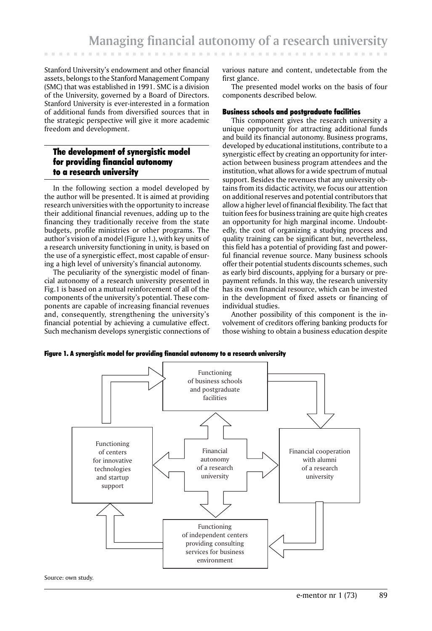Stanford University's endowment and other financial assets, belongs to the Stanford Management Company (SMC) that was established in 1991. SMC is a division of the University, governed by a Board of Directors. Stanford University is ever-interested in a formation of additional funds from diversified sources that in the strategic perspective will give it more academic freedom and development.

# The development of synergistic model for providing financial autonomy to a research university

In the following section a model developed by the author will be presented. It is aimed at providing research universities with the opportunity to increase their additional financial revenues, adding up to the financing they traditionally receive from the state budgets, profile ministries or other programs. The author's vision of a model (Figure 1.), with key units of a research university functioning in unity, is based on the use of a synergistic effect, most capable of ensuring a high level of university's financial autonomy.

The peculiarity of the synergistic model of financial autonomy of a research university presented in Fig.1 is based on a mutual reinforcement of all of the components of the university's potential. These components are capable of increasing financial revenues and, consequently, strengthening the university's financial potential by achieving a cumulative effect. Such mechanism develops synergistic connections of various nature and content, undetectable from the first glance.

The presented model works on the basis of four components described below.

#### Business schools and postgraduate facilities

This component gives the research university a unique opportunity for attracting additional funds and build its financial autonomy. Business programs, developed by educational institutions, contribute to a synergistic effect by creating an opportunity for interaction between business program attendees and the institution, what allows for a wide spectrum of mutual support. Besides the revenues that any university obtains from its didactic activity, we focus our attention on additional reserves and potential contributors that allow a higher level of financial flexibility. The fact that tuition fees for business training are quite high creates an opportunity for high marginal income. Undoubtedly, the cost of organizing a studying process and quality training can be significant but, nevertheless, this field has a potential of providing fast and powerful financial revenue source. Many business schools offer their potential students discounts schemes, such as early bird discounts, applying for a bursary or prepayment refunds. In this way, the research university has its own financial resource, which can be invested in the development of fixed assets or financing of individual studies.

Another possibility of this component is the involvement of creditors offering banking products for those wishing to obtain a business education despite

Figure 1. A synergistic model for providing financial autonomy to a research university



Source: own study.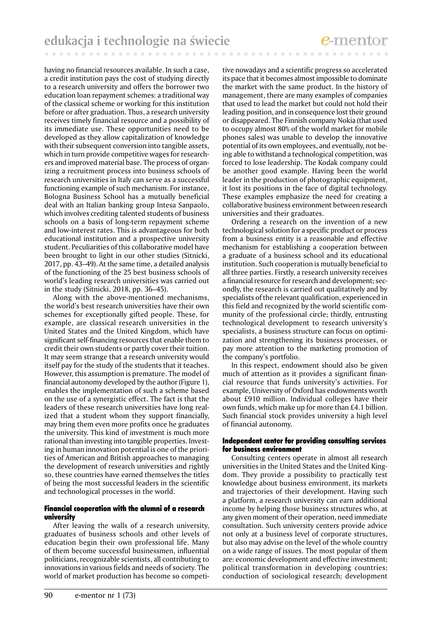. . . . . . . . . . . . . . . . .

having no financial resources available. In such a case, a credit institution pays the cost of studying directly to a research university and offers the borrower two education loan repayment schemes: a traditional way of the classical scheme or working for this institution before or after graduation. Thus, a research university receives timely financial resource and a possibility of its immediate use. These opportunities need to be developed as they allow capitalization of knowledge with their subsequent conversion into tangible assets, which in turn provide competitive wages for researchers and improved material base. The process of organizing a recruitment process into business schools of research universities in Italy can serve as a successful functioning example of such mechanism. For instance, Bologna Business School has a mutually beneficial deal with an Italian banking group Intesa Sanpaolo, which involves crediting talented students of business schools on a basis of long-term repayment scheme and low-interest rates. This is advantageous for both educational institution and a prospective university student. Peculiarities of this collaborative model have been brought to light in our other studies (Sitnicki, 2017, pp. 43–49). At the same time, a detailed analysis of the functioning of the 25 best business schools of world's leading research universities was carried out in the study (Sitnicki, 2018, pp. 36–45).

Along with the above-mentioned mechanisms, the world's best research universities have their own schemes for exceptionally gifted people. These, for example, are classical research universities in the United States and the United Kingdom, which have significant self-financing resources that enable them to credit their own students or partly cover their tuition. It may seem strange that a research university would itself pay for the study of the students that it teaches. However, this assumption is premature. The model of financial autonomy developed by the author (Figure 1), enables the implementation of such a scheme based on the use of a synergistic effect. The fact is that the leaders of these research universities have long realized that a student whom they support financially, may bring them even more profits once he graduates the university. This kind of investment is much more rational than investing into tangible properties. Investing in human innovation potential is one of the priorities of American and British approaches to managing the development of research universities and rightly so, these countries have earned themselves the titles of being the most successful leaders in the scientific and technological processes in the world.

#### Financial cooperation with the alumni of a research university

After leaving the walls of a research university, graduates of business schools and other levels of education begin their own professional life. Many of them become successful businessmen, influential politicians, recognizable scientists, all contributing to innovations in various fields and needs of society. The world of market production has become so competi-

tive nowadays and a scientific progress so accelerated its pace that it becomes almost impossible to dominate the market with the same product. In the history of management, there are many examples of companies that used to lead the market but could not hold their leading position, and in consequence lost their ground or disappeared. The Finnish company Nokia (that used to occupy almost 80% of the world market for mobile phones sales) was unable to develop the innovative potential of its own employees, and eventually, not being able to withstand a technological competition, was forced to lose leadership. The Kodak company could be another good example. Having been the world leader in the production of photographic equipment, it lost its positions in the face of digital technology. These examples emphasize the need for creating a collaborative business environment between research universities and their graduates.

. . . . . . . . . . . . . . . .

Ordering a research on the invention of a new technological solution for a specific product or process from a business entity is a reasonable and effective mechanism for establishing a cooperation between a graduate of a business school and its educational institution. Such cooperation is mutually beneficial to all three parties. Firstly, a research university receives a financial resource for research and development; secondly, the research is carried out qualitatively and by specialists of the relevant qualification, experienced in this field and recognized by the world scientific community of the professional circle; thirdly, entrusting technological development to research university's specialists, a business structure can focus on optimization and strengthening its business processes, or pay more attention to the marketing promotion of the company's portfolio.

In this respect, endowment should also be given much of attention as it provides a significant financial resource that funds university's activities. For example, University of Oxford has endowments worth about £910 million. Individual colleges have their own funds, which make up for more than £4.1 billion. Such financial stock provides university a high level of financial autonomy.

#### Independent center for providing consulting services for business environment

Consulting centers operate in almost all research universities in the United States and the United Kingdom. They provide a possibility to practically test knowledge about business environment, its markets and trajectories of their development. Having such a platform, a research university can earn additional income by helping those business structures who, at any given moment of their operation, need immediate consultation. Such university centers provide advice not only at a business level of corporate structures, but also may advise on the level of the whole country on a wide range of issues. The most popular of them are: economic development and effective investment; political transformation in developing countries; conduction of sociological research; development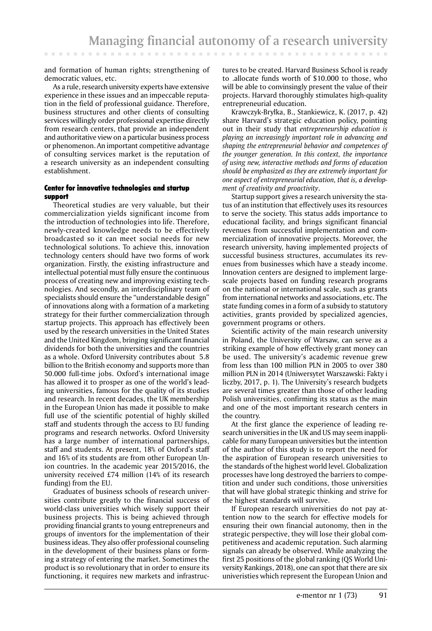and formation of human rights; strengthening of democratic values, etc.

**CONTRACTOR** 

As a rule, research university experts have extensive experience in these issues and an impeccable reputation in the field of professional guidance. Therefore, business structures and other clients of consulting services willingly order professional expertise directly from research centers, that provide an independent and authoritative view on a particular business process or phenomenon. An important competitive advantage of consulting services market is the reputation of a research university as an independent consulting establishment.

#### Center for innovative technologies and startup support

Theoretical studies are very valuable, but their commercialization yields significant income from the introduction of technologies into life. Therefore, newly-created knowledge needs to be effectively broadcasted so it can meet social needs for new technological solutions. To achieve this, innovation technology centers should have two forms of work organization. Firstly, the existing infrastructure and intellectual potential must fully ensure the continuous process of creating new and improving existing technologies. And secondly, an interdisciplinary team of specialists should ensure the "understandable design" of innovations along with a formation of a marketing strategy for their further commercialization through startup projects. This approach has effectively been used by the research universities in the United States and the United Kingdom, bringing significant financial dividends for both the universities and the countries as a whole. Oxford University contributes about 5.8 billion to the British economy and supports more than 50.000 full-time jobs. Oxford's international image has allowed it to prosper as one of the world's leading universities, famous for the quality of its studies and research. In recent decades, the UK membership in the European Union has made it possible to make full use of the scientific potential of highly skilled staff and students through the access to EU funding programs and research networks. Oxford University has a large number of international partnerships, staff and students. At present, 18% of Oxford's staff and 16% of its students are from other European Union countries. In the academic year 2015/2016, the university received £74 million (14% of its research funding) from the EU.

Graduates of business schools of research universities contribute greatly to the financial success of world-class universities which wisely support their business projects. This is being achieved through providing financial grants to young entrepreneurs and groups of inventors for the implementation of their business ideas. They also offer professional counseling in the development of their business plans or forming a strategy of entering the market. Sometimes the product is so revolutionary that in order to ensure its functioning, it requires new markets and infrastruc-

tures to be created. Harvard Business School is ready to .allocate funds worth of \$10.000 to those, who will be able to convinsingly present the value of their projects. Harvard thoroughly stimulates high-quality entrepreneurial education.

Krawczyk-Bryłka, B., Stankiewicz, K. (2017, p. 42) share Harvard's strategic education policy, pointing out in their study that *entrepreneurship education is playing an increasingly important role in advancing and shaping the entrepreneurial behavior and competences of the younger generation. In this context, the importance of using new, interactive methods and forms of education should be emphasized as they are extremely important for one aspect of entrepreneurial education, that is, a development of creativity and proactivity*.

Startup support gives a research university the status of an institution that effectively uses its resources to serve the society. This status adds importance to educational facility, and brings significant financial revenues from successful implementation and commercialization of innovative projects. Moreover, the research university, having implemented projects of successful business structures, accumulates its revenues from businesses which have a steady income. Innovation centers are designed to implement largescale projects based on funding research programs on the national or international scale, such as grants from international networks and associations, etc. The state funding comes in a form of a subsidy to statutory activities, grants provided by specialized agencies, government programs or others.

Scientific activity of the main research university in Poland, the University of Warsaw, can serve as a striking example of how effectively grant money can be used. The university's academic revenue grew from less than 100 million PLN in 2005 to over 380 million PLN in 2014 (Uniwersytet Warszawski: Fakty i liczby, 2017, p. 1). The University's research budgets are several times greater than those of other leading Polish universities, confirming its status as the main and one of the most important research centers in the country.

At the first glance the experience of leading research universities in the UK and US may seem inapplicable for many European universities but the intention of the author of this study is to report the need for the aspiration of European research universities to the standards of the highest world level. Globalization processes have long destroyed the barriers to competition and under such conditions, those universities that will have global strategic thinking and strive for the highest standards will survive.

If European research universities do not pay attention now to the search for effective models for ensuring their own financial autonomy, then in the strategic perspective, they will lose their global competitiveness and academic reputation. Such alarming signals can already be observed. While analyzing the first 25 positions of the global ranking (QS World University Rankings, 2018), one can spot that there are six univeristies which represent the European Union and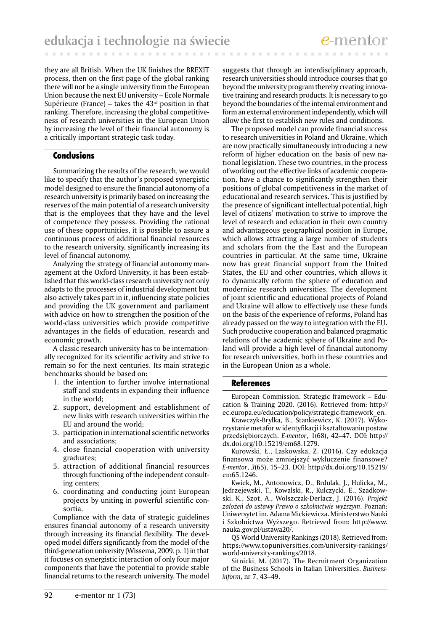they are all British. When the UK finishes the BREXIT process, then on the first page of the global ranking there will not be a single university from the European Union because the next EU university – Ecole Normale Supérieure (France) – takes the  $43<sup>rd</sup>$  position in that ranking. Therefore, increasing the global competitiveness of research universities in the European Union by increasing the level of their financial autonomy is a critically important strategic task today.

#### Conclusions

Summarizing the results of the research, we would like to specify that the author's proposed synergistic model designed to ensure the financial autonomy of a research university is primarily based on increasing the reserves of the main potential of a research university that is the employees that they have and the level of competence they possess. Providing the rational use of these opportunities, it is possible to assure a continuous process of additional financial resources to the research university, significantly increasing its level of financial autonomy.

Analyzing the strategy of financial autonomy management at the Oxford University, it has been established that this world-class research university not only adapts to the processes of industrial development but also actively takes part in it, influencing state policies and providing the UK government and parliament with advice on how to strengthen the position of the world-class universities which provide competitive advantages in the fields of education, research and economic growth.

A classic research university has to be internationally recognized for its scientific activity and strive to remain so for the next centuries. Its main strategic benchmarks should be based on:

- 1. the intention to further involve international staff and students in expanding their influence in the world;
- 2. support, development and establishment of new links with research universities within the EU and around the world;
- 3. participation in international scientific networks and associations;
- 4. close financial cooperation with university graduates;
- 5. attraction of additional financial resources through functioning of the independent consulting centers;
- 6. coordinating and conducting joint European projects by uniting in powerful scientific consortia.

Compliance with the data of strategic guidelines ensures financial autonomy of a research university through increasing its financial flexibility. The developed model differs significantly from the model of the third-generation university (Wissema, 2009, p. 1) in that it focuses on synergistic interaction of only four major components that have the potential to provide stable financial returns to the research university. The model

suggests that through an interdisciplinary approach, research universities should introduce courses that go beyond the university program thereby creating innovative training and research products. It is necessary to go beyond the boundaries of the internal environment and form an external environment independently, which will allow the first to establish new rules and conditions.

. . . . . . . . . . . . .

The proposed model can provide financial success to research universities in Poland and Ukraine, which are now practically simultaneously introducing a new reform of higher education on the basis of new national legislation. These two countries, in the process of working out the effective links of academic cooperation, have a chance to significantly strengthen their positions of global competitiveness in the market of educational and research services. This is justified by the presence of significant intellectual potential, high level of citizens' motivation to strive to improve the level of research and education in their own country and advantageous geographical position in Europe, which allows attracting a large number of students and scholars from the the East and the European countries in particular. At the same time, Ukraine now has great financial support from the United States, the EU and other countries, which allows it to dynamically reform the sphere of education and modernize research universities. The development of joint scientific and educational projects of Poland and Ukraine will allow to effectively use these funds on the basis of the experience of reforms, Poland has already passed on the way to integration with the EU. Such productive cooperation and balanced pragmatic relations of the academic sphere of Ukraine and Poland will provide a high level of financial autonomy for research universities, both in these countries and in the European Union as a whole.

#### **References**

European Commission. Strategic framework – Education & Training 2020. (2016). Retrieved from: http:// ec.europa.eu/education/policy/strategic-framework\_en.

Krawczyk-Bryłka, B., Stankiewicz, K. (2017). Wykorzystanie metafor w identyfikacji i kształtowaniu postaw przedsiębiorczych. *E-mentor*, 1(68), 42–47. DOI: http:// dx.doi.org/10.15219/em68.1279.

Kurowski, Ł., Laskowska, Z. (2016). Czy edukacja finansowa może zmniejszyć wykluczenie finansowe? *E-mentor*, *3*(65), 15–23. DOI: http://dx.doi.org/10.15219/ em65.1246.

Kwiek, M., Antonowicz, D., Brdulak, J., Hulicka, M., Jędrzejewski, T., Kowalski, R., Kulczycki, E., Szadkowski, K., Szot, A., Wolszczak-Derlacz, J. (2016). *Projekt założeń do ustawy Prawo o szkolnictwie wyższym*. Poznań: Uniwersytet im. Adama Mickiewicza. Ministerstwo Nauki i Szkolnictwa Wyższego. Retrieved from: http://www. nauka.gov.pl/ustawa20/.

QS World University Rankings (2018). Retrieved from: https://www.topuniversities.com/university-rankings/ world-university-rankings/2018.

Sitnicki, M. (2017). The Recruitment Organization of the Business Schools in Italian Universities. *Businessinform*, nr 7, 43–49.